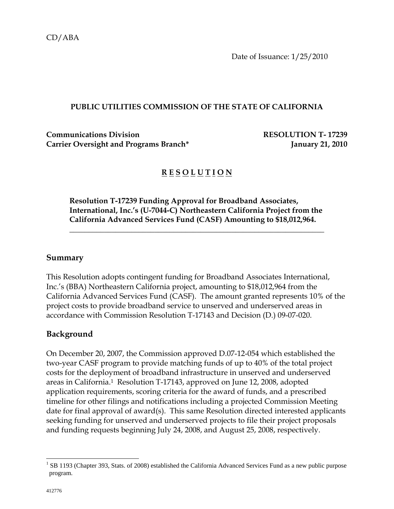Date of Issuance: 1/25/2010

#### **PUBLIC UTILITIES COMMISSION OF THE STATE OF CALIFORNIA**

**Communications Division RESOLUTION T- 17239** Carrier Oversight and Programs Branch<sup>\*</sup> January 21, 2010

## **R E S O L U T I O N**

**Resolution T-17239 Funding Approval for Broadband Associates, International, Inc.'s (U-7044-C) Northeastern California Project from the California Advanced Services Fund (CASF) Amounting to \$18,012,964.** 

 $\overline{\phantom{a}}$  , and the contract of the contract of the contract of the contract of the contract of the contract of the contract of the contract of the contract of the contract of the contract of the contract of the contrac

#### **Summary**

This Resolution adopts contingent funding for Broadband Associates International, Inc.'s (BBA) Northeastern California project, amounting to \$18,012,964 from the California Advanced Services Fund (CASF). The amount granted represents 10% of the project costs to provide broadband service to unserved and underserved areas in accordance with Commission Resolution T-17143 and Decision (D.) 09-07-020.

#### **Background**

On December 20, 2007, the Commission approved D.07-12-054 which established the two-year CASF program to provide matching funds of up to 40% of the total project costs for the deployment of broadband infrastructure in unserved and underserved areas in California.1 Resolution T-17143, approved on June 12, 2008, adopted application requirements, scoring criteria for the award of funds, and a prescribed timeline for other filings and notifications including a projected Commission Meeting date for final approval of award(s). This same Resolution directed interested applicants seeking funding for unserved and underserved projects to file their project proposals and funding requests beginning July 24, 2008, and August 25, 2008, respectively.

 $\overline{\phantom{a}}$ 

<sup>&</sup>lt;sup>1</sup> SB 1193 (Chapter 393, Stats. of 2008) established the California Advanced Services Fund as a new public purpose program.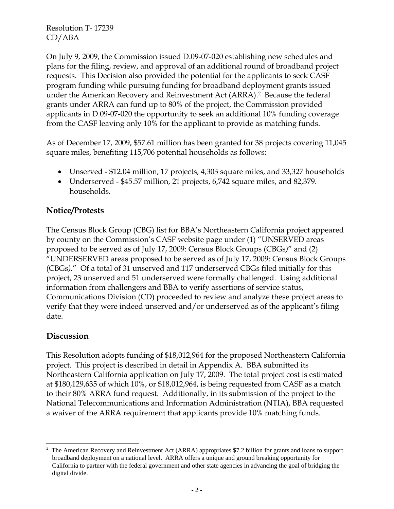On July 9, 2009, the Commission issued D.09-07-020 establishing new schedules and plans for the filing, review, and approval of an additional round of broadband project requests. This Decision also provided the potential for the applicants to seek CASF program funding while pursuing funding for broadband deployment grants issued under the American Recovery and Reinvestment Act (ARRA).2 Because the federal grants under ARRA can fund up to 80% of the project, the Commission provided applicants in D.09-07-020 the opportunity to seek an additional 10% funding coverage from the CASF leaving only 10% for the applicant to provide as matching funds.

As of December 17, 2009, \$57.61 million has been granted for 38 projects covering 11,045 square miles, benefiting 115,706 potential households as follows:

- Unserved \$12.04 million, 17 projects, 4,303 square miles, and 33,327 households
- Underserved \$45.57 million, 21 projects, 6,742 square miles, and 82,379. households.

### **Notice/Protests**

The Census Block Group (CBG) list for BBA's Northeastern California project appeared by county on the Commission's CASF website page under (1) "UNSERVED areas proposed to be served as of July 17, 2009: Census Block Groups (CBGs*)*" and (2) "UNDERSERVED areas proposed to be served as of July 17, 2009: Census Block Groups (CBGs*).*" Of a total of 31 unserved and 117 underserved CBGs filed initially for this project, 23 unserved and 51 underserved were formally challenged. Using additional information from challengers and BBA to verify assertions of service status, Communications Division (CD) proceeded to review and analyze these project areas to verify that they were indeed unserved and/or underserved as of the applicant's filing date.

### **Discussion**

 $\overline{a}$ 

This Resolution adopts funding of \$18,012,964 for the proposed Northeastern California project. This project is described in detail in Appendix A. BBA submitted its Northeastern California application on July 17, 2009. The total project cost is estimated at \$180,129,635 of which 10%, or \$18,012,964, is being requested from CASF as a match to their 80% ARRA fund request. Additionally, in its submission of the project to the National Telecommunications and Information Administration (NTIA), BBA requested a waiver of the ARRA requirement that applicants provide 10% matching funds.

<sup>2</sup> The American Recovery and Reinvestment Act (ARRA) appropriates \$7.2 billion for grants and loans to support broadband deployment on a national level. ARRA offers a unique and ground breaking opportunity for California to partner with the federal government and other state agencies in advancing the goal of bridging the digital divide.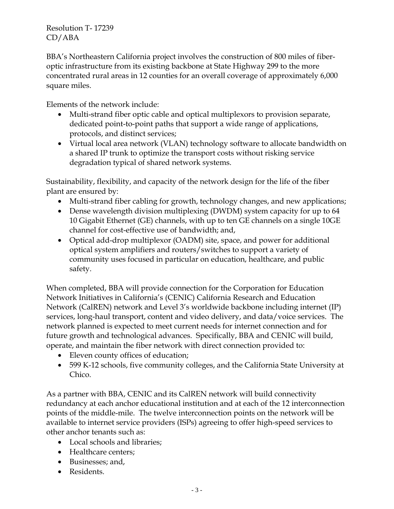BBA's Northeastern California project involves the construction of 800 miles of fiberoptic infrastructure from its existing backbone at State Highway 299 to the more concentrated rural areas in 12 counties for an overall coverage of approximately 6,000 square miles.

Elements of the network include:

- Multi-strand fiber optic cable and optical multiplexors to provision separate, dedicated point-to-point paths that support a wide range of applications, protocols, and distinct services;
- Virtual local area network (VLAN) technology software to allocate bandwidth on a shared IP trunk to optimize the transport costs without risking service degradation typical of shared network systems.

Sustainability, flexibility, and capacity of the network design for the life of the fiber plant are ensured by:

- Multi-strand fiber cabling for growth, technology changes, and new applications;
- Dense wavelength division multiplexing (DWDM) system capacity for up to 64 10 Gigabit Ethernet (GE) channels, with up to ten GE channels on a single 10GE channel for cost-effective use of bandwidth; and,
- Optical add-drop multiplexor (OADM) site, space, and power for additional optical system amplifiers and routers/switches to support a variety of community uses focused in particular on education, healthcare, and public safety.

When completed, BBA will provide connection for the Corporation for Education Network Initiatives in California's (CENIC) California Research and Education Network (CalREN) network and Level 3's worldwide backbone including internet (IP) services, long-haul transport, content and video delivery, and data/voice services. The network planned is expected to meet current needs for internet connection and for future growth and technological advances. Specifically, BBA and CENIC will build, operate, and maintain the fiber network with direct connection provided to:

- Eleven county offices of education;
- 599 K-12 schools, five community colleges, and the California State University at Chico.

As a partner with BBA, CENIC and its CalREN network will build connectivity redundancy at each anchor educational institution and at each of the 12 interconnection points of the middle-mile. The twelve interconnection points on the network will be available to internet service providers (ISPs) agreeing to offer high-speed services to other anchor tenants such as:

- Local schools and libraries;
- Healthcare centers;
- Businesses; and,
- Residents.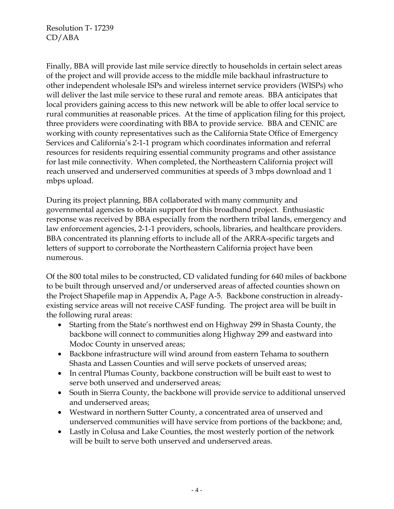Finally, BBA will provide last mile service directly to households in certain select areas of the project and will provide access to the middle mile backhaul infrastructure to other independent wholesale ISPs and wireless internet service providers (WISPs) who will deliver the last mile service to these rural and remote areas. BBA anticipates that local providers gaining access to this new network will be able to offer local service to rural communities at reasonable prices. At the time of application filing for this project, three providers were coordinating with BBA to provide service. BBA and CENIC are working with county representatives such as the California State Office of Emergency Services and California's 2-1-1 program which coordinates information and referral resources for residents requiring essential community programs and other assistance for last mile connectivity. When completed, the Northeastern California project will reach unserved and underserved communities at speeds of 3 mbps download and 1 mbps upload.

During its project planning, BBA collaborated with many community and governmental agencies to obtain support for this broadband project. Enthusiastic response was received by BBA especially from the northern tribal lands, emergency and law enforcement agencies, 2-1-1 providers, schools, libraries, and healthcare providers. BBA concentrated its planning efforts to include all of the ARRA-specific targets and letters of support to corroborate the Northeastern California project have been numerous.

Of the 800 total miles to be constructed, CD validated funding for 640 miles of backbone to be built through unserved and/or underserved areas of affected counties shown on the Project Shapefile map in Appendix A, Page A-5. Backbone construction in alreadyexisting service areas will not receive CASF funding. The project area will be built in the following rural areas:

- Starting from the State's northwest end on Highway 299 in Shasta County, the backbone will connect to communities along Highway 299 and eastward into Modoc County in unserved areas;
- Backbone infrastructure will wind around from eastern Tehama to southern Shasta and Lassen Counties and will serve pockets of unserved areas;
- In central Plumas County, backbone construction will be built east to west to serve both unserved and underserved areas;
- South in Sierra County, the backbone will provide service to additional unserved and underserved areas;
- Westward in northern Sutter County, a concentrated area of unserved and underserved communities will have service from portions of the backbone; and,
- Lastly in Colusa and Lake Counties, the most westerly portion of the network will be built to serve both unserved and underserved areas.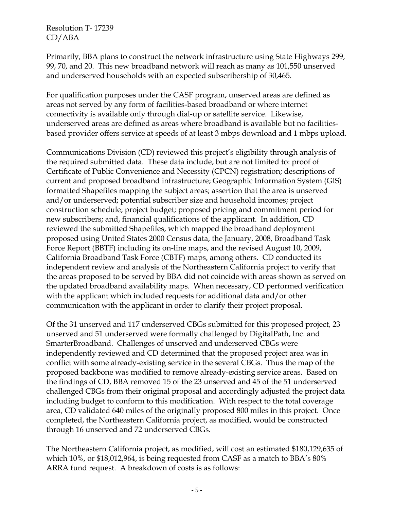Primarily, BBA plans to construct the network infrastructure using State Highways 299, 99, 70, and 20. This new broadband network will reach as many as 101,550 unserved and underserved households with an expected subscribership of 30,465.

For qualification purposes under the CASF program, unserved areas are defined as areas not served by any form of facilities-based broadband or where internet connectivity is available only through dial-up or satellite service. Likewise, underserved areas are defined as areas where broadband is available but no facilitiesbased provider offers service at speeds of at least 3 mbps download and 1 mbps upload.

Communications Division (CD) reviewed this project's eligibility through analysis of the required submitted data. These data include, but are not limited to: proof of Certificate of Public Convenience and Necessity (CPCN) registration; descriptions of current and proposed broadband infrastructure; Geographic Information System (GIS) formatted Shapefiles mapping the subject areas; assertion that the area is unserved and/or underserved; potential subscriber size and household incomes; project construction schedule; project budget; proposed pricing and commitment period for new subscribers; and, financial qualifications of the applicant. In addition, CD reviewed the submitted Shapefiles, which mapped the broadband deployment proposed using United States 2000 Census data, the January, 2008, Broadband Task Force Report (BBTF) including its on-line maps, and the revised August 10, 2009, California Broadband Task Force (CBTF) maps, among others. CD conducted its independent review and analysis of the Northeastern California project to verify that the areas proposed to be served by BBA did not coincide with areas shown as served on the updated broadband availability maps. When necessary, CD performed verification with the applicant which included requests for additional data and/or other communication with the applicant in order to clarify their project proposal.

Of the 31 unserved and 117 underserved CBGs submitted for this proposed project, 23 unserved and 51 underserved were formally challenged by DigitalPath, Inc. and SmarterBroadband. Challenges of unserved and underserved CBGs were independently reviewed and CD determined that the proposed project area was in conflict with some already-existing service in the several CBGs. Thus the map of the proposed backbone was modified to remove already-existing service areas. Based on the findings of CD, BBA removed 15 of the 23 unserved and 45 of the 51 underserved challenged CBGs from their original proposal and accordingly adjusted the project data including budget to conform to this modification. With respect to the total coverage area, CD validated 640 miles of the originally proposed 800 miles in this project. Once completed, the Northeastern California project, as modified, would be constructed through 16 unserved and 72 underserved CBGs.

The Northeastern California project, as modified, will cost an estimated \$180,129,635 of which 10%, or \$18,012,964, is being requested from CASF as a match to BBA's 80% ARRA fund request. A breakdown of costs is as follows: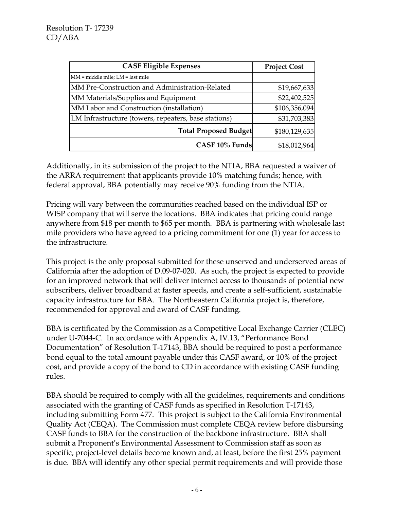| <b>CASF Eligible Expenses</b>                        | <b>Project Cost</b> |
|------------------------------------------------------|---------------------|
| MM = middle mile; LM = last mile                     |                     |
| MM Pre-Construction and Administration-Related       | \$19,667,633        |
| MM Materials/Supplies and Equipment                  | \$22,402,525        |
| MM Labor and Construction (installation)             | \$106,356,094       |
| LM Infrastructure (towers, repeaters, base stations) | \$31,703,383        |
| <b>Total Proposed Budget</b>                         | \$180,129,635       |
| CASF 10% Funds                                       | \$18,012,964        |

Additionally, in its submission of the project to the NTIA, BBA requested a waiver of the ARRA requirement that applicants provide 10% matching funds; hence, with federal approval, BBA potentially may receive 90% funding from the NTIA.

Pricing will vary between the communities reached based on the individual ISP or WISP company that will serve the locations. BBA indicates that pricing could range anywhere from \$18 per month to \$65 per month. BBA is partnering with wholesale last mile providers who have agreed to a pricing commitment for one (1) year for access to the infrastructure.

This project is the only proposal submitted for these unserved and underserved areas of California after the adoption of D.09-07-020. As such, the project is expected to provide for an improved network that will deliver internet access to thousands of potential new subscribers, deliver broadband at faster speeds, and create a self-sufficient, sustainable capacity infrastructure for BBA. The Northeastern California project is, therefore, recommended for approval and award of CASF funding.

BBA is certificated by the Commission as a Competitive Local Exchange Carrier (CLEC) under U-7044-C. In accordance with Appendix A, IV.13, "Performance Bond Documentation" of Resolution T-17143, BBA should be required to post a performance bond equal to the total amount payable under this CASF award, or 10% of the project cost, and provide a copy of the bond to CD in accordance with existing CASF funding rules.

BBA should be required to comply with all the guidelines, requirements and conditions associated with the granting of CASF funds as specified in Resolution T-17143, including submitting Form 477. This project is subject to the California Environmental Quality Act (CEQA). The Commission must complete CEQA review before disbursing CASF funds to BBA for the construction of the backbone infrastructure. BBA shall submit a Proponent's Environmental Assessment to Commission staff as soon as specific, project-level details become known and, at least, before the first 25% payment is due. BBA will identify any other special permit requirements and will provide those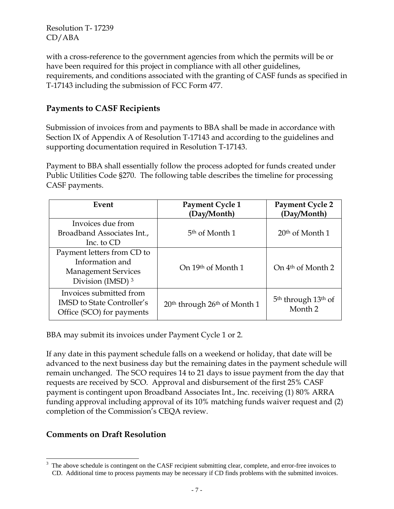with a cross-reference to the government agencies from which the permits will be or have been required for this project in compliance with all other guidelines, requirements, and conditions associated with the granting of CASF funds as specified in T-17143 including the submission of FCC Form 477.

### **Payments to CASF Recipients**

Submission of invoices from and payments to BBA shall be made in accordance with Section IX of Appendix A of Resolution T-17143 and according to the guidelines and supporting documentation required in Resolution T-17143.

Payment to BBA shall essentially follow the process adopted for funds created under Public Utilities Code §270. The following table describes the timeline for processing CASF payments.

| Event                                                                                                       | Payment Cycle 1<br>(Day/Month)                       | <b>Payment Cycle 2</b><br>(Day/Month)                             |
|-------------------------------------------------------------------------------------------------------------|------------------------------------------------------|-------------------------------------------------------------------|
| Invoices due from<br>Broadband Associates Int.,<br>Inc. to CD                                               | 5 <sup>th</sup> of Month 1                           | $20th$ of Month 1                                                 |
| Payment letters from CD to<br>Information and<br><b>Management Services</b><br>Division (IMSD) <sup>3</sup> | On 19th of Month 1                                   | On 4 <sup>th</sup> of Month 2                                     |
| Invoices submitted from<br><b>IMSD</b> to State Controller's<br>Office (SCO) for payments                   | 20 <sup>th</sup> through 26 <sup>th</sup> of Month 1 | 5 <sup>th</sup> through 13 <sup>th</sup> of<br>Month <sub>2</sub> |

BBA may submit its invoices under Payment Cycle 1 or 2.

If any date in this payment schedule falls on a weekend or holiday, that date will be advanced to the next business day but the remaining dates in the payment schedule will remain unchanged. The SCO requires 14 to 21 days to issue payment from the day that requests are received by SCO. Approval and disbursement of the first 25% CASF payment is contingent upon Broadband Associates Int., Inc. receiving (1) 80% ARRA funding approval including approval of its 10% matching funds waiver request and (2) completion of the Commission's CEQA review.

### **Comments on Draft Resolution**

 $\overline{\phantom{a}}$ 

<sup>3</sup> The above schedule is contingent on the CASF recipient submitting clear, complete, and error-free invoices to CD. Additional time to process payments may be necessary if CD finds problems with the submitted invoices.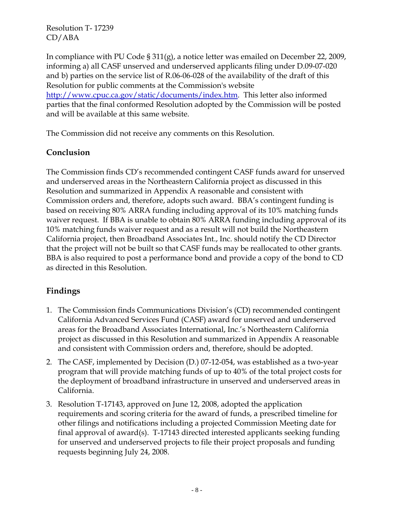In compliance with PU Code § 311(g), a notice letter was emailed on December 22, 2009, informing a) all CASF unserved and underserved applicants filing under D.09-07-020 and b) parties on the service list of R.06-06-028 of the availability of the draft of this Resolution for public comments at the Commission's website http://www.cpuc.ca.gov/static/documents/index.htm. This letter also informed parties that the final conformed Resolution adopted by the Commission will be posted and will be available at this same website.

The Commission did not receive any comments on this Resolution.

## **Conclusion**

The Commission finds CD's recommended contingent CASF funds award for unserved and underserved areas in the Northeastern California project as discussed in this Resolution and summarized in Appendix A reasonable and consistent with Commission orders and, therefore, adopts such award. BBA's contingent funding is based on receiving 80% ARRA funding including approval of its 10% matching funds waiver request. If BBA is unable to obtain 80% ARRA funding including approval of its 10% matching funds waiver request and as a result will not build the Northeastern California project, then Broadband Associates Int., Inc. should notify the CD Director that the project will not be built so that CASF funds may be reallocated to other grants. BBA is also required to post a performance bond and provide a copy of the bond to CD as directed in this Resolution.

# **Findings**

- 1. The Commission finds Communications Division's (CD) recommended contingent California Advanced Services Fund (CASF) award for unserved and underserved areas for the Broadband Associates International, Inc.'s Northeastern California project as discussed in this Resolution and summarized in Appendix A reasonable and consistent with Commission orders and, therefore, should be adopted.
- 2. The CASF, implemented by Decision (D.) 07-12-054, was established as a two-year program that will provide matching funds of up to 40% of the total project costs for the deployment of broadband infrastructure in unserved and underserved areas in California.
- 3. Resolution T-17143, approved on June 12, 2008, adopted the application requirements and scoring criteria for the award of funds, a prescribed timeline for other filings and notifications including a projected Commission Meeting date for final approval of award(s). T-17143 directed interested applicants seeking funding for unserved and underserved projects to file their project proposals and funding requests beginning July 24, 2008.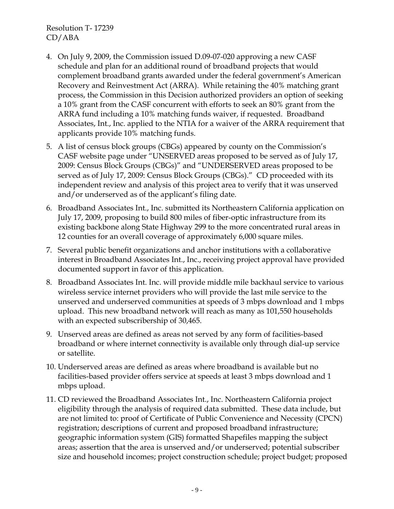- 4. On July 9, 2009, the Commission issued D.09-07-020 approving a new CASF schedule and plan for an additional round of broadband projects that would complement broadband grants awarded under the federal government's American Recovery and Reinvestment Act (ARRA). While retaining the 40% matching grant process, the Commission in this Decision authorized providers an option of seeking a 10% grant from the CASF concurrent with efforts to seek an 80% grant from the ARRA fund including a 10% matching funds waiver, if requested. Broadband Associates, Int., Inc. applied to the NTIA for a waiver of the ARRA requirement that applicants provide 10% matching funds.
- 5. A list of census block groups (CBGs) appeared by county on the Commission's CASF website page under "UNSERVED areas proposed to be served as of July 17, 2009: Census Block Groups (CBGs)" and "UNDERSERVED areas proposed to be served as of July 17, 2009: Census Block Groups (CBGs)." CD proceeded with its independent review and analysis of this project area to verify that it was unserved and/or underserved as of the applicant's filing date.
- 6. Broadband Associates Int., Inc. submitted its Northeastern California application on July 17, 2009, proposing to build 800 miles of fiber-optic infrastructure from its existing backbone along State Highway 299 to the more concentrated rural areas in 12 counties for an overall coverage of approximately 6,000 square miles.
- 7. Several public benefit organizations and anchor institutions with a collaborative interest in Broadband Associates Int., Inc., receiving project approval have provided documented support in favor of this application.
- 8. Broadband Associates Int. Inc. will provide middle mile backhaul service to various wireless service internet providers who will provide the last mile service to the unserved and underserved communities at speeds of 3 mbps download and 1 mbps upload. This new broadband network will reach as many as 101,550 households with an expected subscribership of 30,465.
- 9. Unserved areas are defined as areas not served by any form of facilities-based broadband or where internet connectivity is available only through dial-up service or satellite.
- 10. Underserved areas are defined as areas where broadband is available but no facilities-based provider offers service at speeds at least 3 mbps download and 1 mbps upload.
- 11. CD reviewed the Broadband Associates Int., Inc. Northeastern California project eligibility through the analysis of required data submitted. These data include, but are not limited to: proof of Certificate of Public Convenience and Necessity (CPCN) registration; descriptions of current and proposed broadband infrastructure; geographic information system (GIS) formatted Shapefiles mapping the subject areas; assertion that the area is unserved and/or underserved; potential subscriber size and household incomes; project construction schedule; project budget; proposed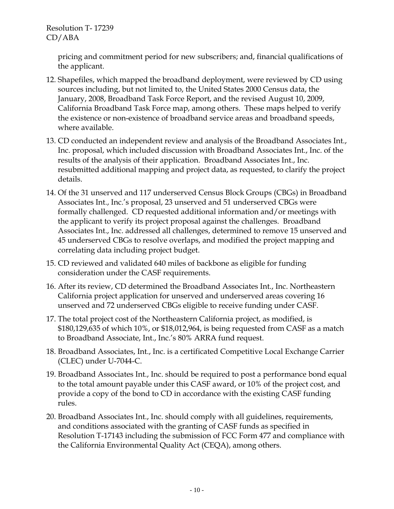> pricing and commitment period for new subscribers; and, financial qualifications of the applicant.

- 12. Shapefiles, which mapped the broadband deployment, were reviewed by CD using sources including, but not limited to, the United States 2000 Census data, the January, 2008, Broadband Task Force Report, and the revised August 10, 2009, California Broadband Task Force map, among others. These maps helped to verify the existence or non-existence of broadband service areas and broadband speeds, where available.
- 13. CD conducted an independent review and analysis of the Broadband Associates Int., Inc. proposal, which included discussion with Broadband Associates Int., Inc. of the results of the analysis of their application. Broadband Associates Int., Inc. resubmitted additional mapping and project data, as requested, to clarify the project details.
- 14. Of the 31 unserved and 117 underserved Census Block Groups (CBGs) in Broadband Associates Int., Inc.'s proposal, 23 unserved and 51 underserved CBGs were formally challenged. CD requested additional information and/or meetings with the applicant to verify its project proposal against the challenges. Broadband Associates Int., Inc. addressed all challenges, determined to remove 15 unserved and 45 underserved CBGs to resolve overlaps, and modified the project mapping and correlating data including project budget.
- 15. CD reviewed and validated 640 miles of backbone as eligible for funding consideration under the CASF requirements.
- 16. After its review, CD determined the Broadband Associates Int., Inc. Northeastern California project application for unserved and underserved areas covering 16 unserved and 72 underserved CBGs eligible to receive funding under CASF.
- 17. The total project cost of the Northeastern California project, as modified, is \$180,129,635 of which 10%, or \$18,012,964, is being requested from CASF as a match to Broadband Associate, Int., Inc.'s 80% ARRA fund request.
- 18. Broadband Associates, Int., Inc. is a certificated Competitive Local Exchange Carrier (CLEC) under U-7044-C.
- 19. Broadband Associates Int., Inc. should be required to post a performance bond equal to the total amount payable under this CASF award, or 10% of the project cost, and provide a copy of the bond to CD in accordance with the existing CASF funding rules.
- 20. Broadband Associates Int., Inc. should comply with all guidelines, requirements, and conditions associated with the granting of CASF funds as specified in Resolution T-17143 including the submission of FCC Form 477 and compliance with the California Environmental Quality Act (CEQA), among others.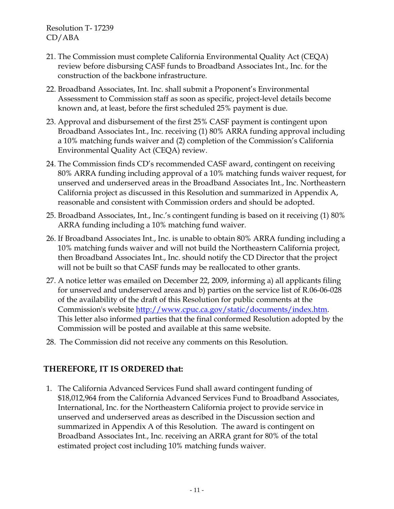- 21. The Commission must complete California Environmental Quality Act (CEQA) review before disbursing CASF funds to Broadband Associates Int., Inc. for the construction of the backbone infrastructure.
- 22. Broadband Associates, Int. Inc. shall submit a Proponent's Environmental Assessment to Commission staff as soon as specific, project-level details become known and, at least, before the first scheduled 25% payment is due.
- 23. Approval and disbursement of the first 25% CASF payment is contingent upon Broadband Associates Int., Inc. receiving (1) 80% ARRA funding approval including a 10% matching funds waiver and (2) completion of the Commission's California Environmental Quality Act (CEQA) review.
- 24. The Commission finds CD's recommended CASF award, contingent on receiving 80% ARRA funding including approval of a 10% matching funds waiver request, for unserved and underserved areas in the Broadband Associates Int., Inc. Northeastern California project as discussed in this Resolution and summarized in Appendix A, reasonable and consistent with Commission orders and should be adopted.
- 25. Broadband Associates, Int., Inc.'s contingent funding is based on it receiving (1) 80% ARRA funding including a 10% matching fund waiver.
- 26. If Broadband Associates Int., Inc. is unable to obtain 80% ARRA funding including a 10% matching funds waiver and will not build the Northeastern California project, then Broadband Associates Int., Inc. should notify the CD Director that the project will not be built so that CASF funds may be reallocated to other grants.
- 27. A notice letter was emailed on December 22, 2009, informing a) all applicants filing for unserved and underserved areas and b) parties on the service list of R.06-06-028 of the availability of the draft of this Resolution for public comments at the Commission's website http://www.cpuc.ca.gov/static/documents/index.htm. This letter also informed parties that the final conformed Resolution adopted by the Commission will be posted and available at this same website.
- 28. The Commission did not receive any comments on this Resolution.

# **THEREFORE, IT IS ORDERED that:**

1. The California Advanced Services Fund shall award contingent funding of \$18,012,964 from the California Advanced Services Fund to Broadband Associates, International, Inc. for the Northeastern California project to provide service in unserved and underserved areas as described in the Discussion section and summarized in Appendix A of this Resolution. The award is contingent on Broadband Associates Int., Inc. receiving an ARRA grant for 80% of the total estimated project cost including 10% matching funds waiver.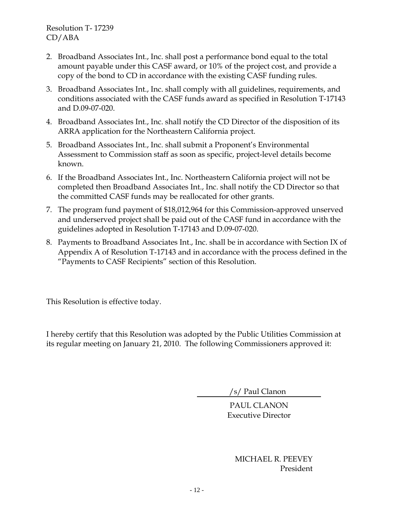- 2. Broadband Associates Int., Inc. shall post a performance bond equal to the total amount payable under this CASF award, or 10% of the project cost, and provide a copy of the bond to CD in accordance with the existing CASF funding rules.
- 3. Broadband Associates Int., Inc. shall comply with all guidelines, requirements, and conditions associated with the CASF funds award as specified in Resolution T-17143 and D.09-07-020.
- 4. Broadband Associates Int., Inc. shall notify the CD Director of the disposition of its ARRA application for the Northeastern California project.
- 5. Broadband Associates Int., Inc. shall submit a Proponent's Environmental Assessment to Commission staff as soon as specific, project-level details become known.
- 6. If the Broadband Associates Int., Inc. Northeastern California project will not be completed then Broadband Associates Int., Inc. shall notify the CD Director so that the committed CASF funds may be reallocated for other grants.
- 7. The program fund payment of \$18,012,964 for this Commission-approved unserved and underserved project shall be paid out of the CASF fund in accordance with the guidelines adopted in Resolution T-17143 and D.09-07-020.
- 8. Payments to Broadband Associates Int., Inc. shall be in accordance with Section IX of Appendix A of Resolution T-17143 and in accordance with the process defined in the "Payments to CASF Recipients" section of this Resolution.

This Resolution is effective today.

I hereby certify that this Resolution was adopted by the Public Utilities Commission at its regular meeting on January 21, 2010. The following Commissioners approved it:

/s/ Paul Clanon

PAUL CLANON Executive Director

> MICHAEL R. PEEVEY President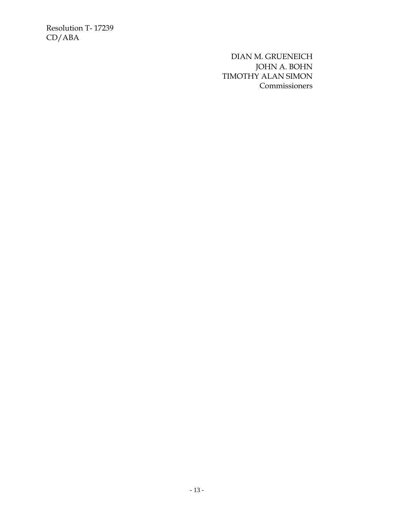> DIAN M. GRUENEICH JOHN A. BOHN TIMOTHY ALAN SIMON **Commissioners**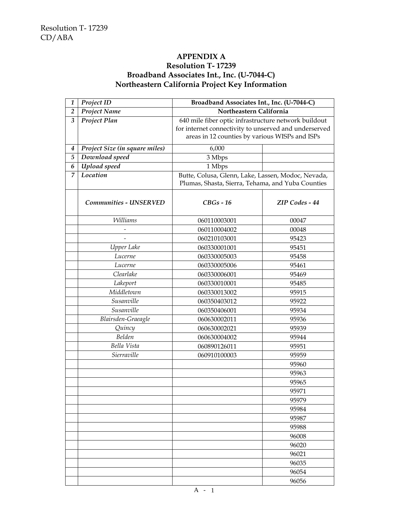#### **APPENDIX A Resolution T- 17239 Broadband Associates Int., Inc. (U-7044-C) Northeastern California Project Key Information**

| 1              | Project ID                     | Broadband Associates Int., Inc. (U-7044-C)            |                |
|----------------|--------------------------------|-------------------------------------------------------|----------------|
| $\overline{2}$ | <b>Project Name</b>            | Northeastern California                               |                |
| 3              | Project Plan                   | 640 mile fiber optic infrastructure network buildout  |                |
|                |                                | for internet connectivity to unserved and underserved |                |
|                |                                | areas in 12 counties by various WISPs and ISPs        |                |
| 4              | Project Size (in square miles) | 6,000                                                 |                |
| $\overline{5}$ | Download speed                 | 3 Mbps                                                |                |
| 6              | Upload speed                   | 1 Mbps                                                |                |
| 7              | Location                       | Butte, Colusa, Glenn, Lake, Lassen, Modoc, Nevada,    |                |
|                |                                | Plumas, Shasta, Sierra, Tehama, and Yuba Counties     |                |
|                | Communities - UNSERVED         | $CBGs - 16$                                           | ZIP Codes - 44 |
|                | <b>Williams</b>                | 060110003001                                          | 00047          |
|                |                                | 060110004002                                          | 00048          |
|                |                                | 060210103001                                          | 95423          |
|                | Upper Lake                     | 060330001001                                          | 95451          |
|                | Lucerne                        | 060330005003                                          | 95458          |
|                | Lucerne                        | 060330005006                                          | 95461          |
|                | Clearlake                      | 060330006001                                          | 95469          |
|                | Lakeport                       | 060330010001                                          | 95485          |
|                | Middletown                     | 060330013002                                          | 95915          |
|                | Susanville                     | 060350403012                                          | 95922          |
|                | Susanville                     | 060350406001                                          | 95934          |
|                | Blairsden-Graeagle             | 060630002011                                          | 95936          |
|                | Quincy                         | 060630002021                                          | 95939          |
|                | Belden                         | 060630004002                                          | 95944          |
|                | Bella Vista                    | 060890126011                                          | 95951          |
|                | Sierraville                    | 060910100003                                          | 95959          |
|                |                                |                                                       | 95960          |
|                |                                |                                                       | 95963          |
|                |                                |                                                       | 95965          |
|                |                                |                                                       | 95971          |
|                |                                |                                                       | 95979          |
|                |                                |                                                       | 95984          |
|                |                                |                                                       | 95987          |
|                |                                |                                                       | 95988          |
|                |                                |                                                       | 96008          |
|                |                                |                                                       | 96020          |
|                |                                |                                                       | 96021          |
|                |                                |                                                       | 96035          |
|                |                                |                                                       | 96054          |
|                |                                |                                                       | 96056          |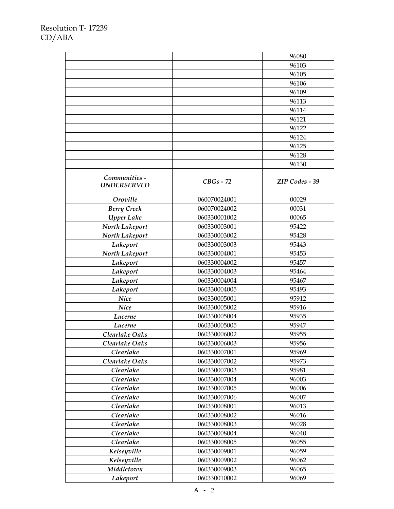|                    |                              | 96080          |
|--------------------|------------------------------|----------------|
|                    |                              | 96103          |
|                    |                              | 96105          |
|                    |                              | 96106          |
|                    |                              | 96109          |
|                    |                              | 96113          |
|                    |                              | 96114          |
|                    |                              | 96121          |
|                    |                              | 96122          |
|                    |                              | 96124          |
|                    |                              | 96125          |
|                    |                              | 96128          |
|                    |                              | 96130          |
|                    |                              |                |
| Communities -      | $CBGs - 72$                  | ZIP Codes - 39 |
| <b>UNDERSERVED</b> |                              |                |
| Oroville           | 060070024001                 | 00029          |
| <b>Berry Creek</b> | 060070024002                 | 00031          |
| <b>Upper Lake</b>  | 060330001002                 | 00065          |
| North Lakeport     | 060330003001                 | 95422          |
| North Lakeport     | 060330003002                 | 95428          |
| Lakeport           | 060330003003                 | 95443          |
| North Lakeport     | 060330004001                 | 95453          |
| Lakeport           | 060330004002                 | 95457          |
| Lakeport           | 060330004003                 | 95464          |
| Lakeport           | 060330004004                 | 95467          |
| Lakeport           | 060330004005                 | 95493          |
| <b>Nice</b>        | 060330005001                 | 95912          |
| <b>Nice</b>        | 060330005002                 | 95916          |
| Lucerne            | 060330005004                 | 95935          |
| Lucerne            | 060330005005                 | 95947          |
| Clearlake Oaks     | 060330006002                 | 95955          |
| Clearlake Oaks     | 060330006003                 | 95956          |
| Clearlake          | 060330007001                 | 95969          |
| Clearlake Oaks     | 060330007002                 | 95973          |
| Clearlake          | 060330007003                 | 95981          |
| Clearlake          | 060330007004                 | 96003          |
| Clearlake          | 060330007005                 | 96006          |
| Clearlake          | 060330007006                 | 96007          |
| Clearlake          | 060330008001                 | 96013          |
|                    |                              |                |
| Clearlake          | 060330008002<br>060330008003 | 96016          |
| Clearlake          |                              | 96028          |
| Clearlake          | 060330008004                 | 96040          |
| Clearlake          | 060330008005                 | 96055          |
| Kelseyville        | 060330009001                 | 96059          |
| Kelseyville        | 060330009002                 | 96062          |
| Middletown         | 060330009003                 | 96065          |
| Lakeport           | 060330010002                 | 96069          |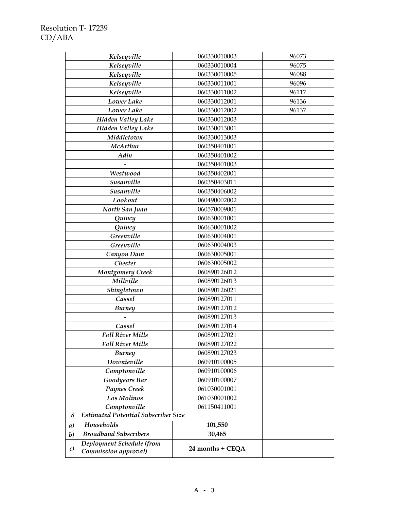|                  | Kelseyville                                       | 060330010003     | 96073 |
|------------------|---------------------------------------------------|------------------|-------|
|                  | Kelseyville                                       | 060330010004     | 96075 |
|                  | Kelseyville                                       | 060330010005     | 96088 |
|                  | Kelseyville                                       | 060330011001     | 96096 |
|                  | Kelseyville                                       | 060330011002     | 96117 |
|                  | Lower Lake                                        | 060330012001     | 96136 |
|                  | Lower Lake                                        | 060330012002     | 96137 |
|                  | <b>Hidden Valley Lake</b>                         | 060330012003     |       |
|                  | <b>Hidden Valley Lake</b>                         | 060330013001     |       |
|                  | Middletown                                        | 060330013003     |       |
|                  | McArthur                                          | 060350401001     |       |
|                  | Adin                                              | 060350401002     |       |
|                  |                                                   | 060350401003     |       |
|                  | Westwood                                          | 060350402001     |       |
|                  | Susanville                                        | 060350403011     |       |
|                  | Susanville                                        | 060350406002     |       |
|                  | Lookout                                           | 060490002002     |       |
|                  | North San Juan                                    | 060570009001     |       |
|                  | Quincy                                            | 060630001001     |       |
|                  | Quincy                                            | 060630001002     |       |
|                  | Greenville                                        | 060630004001     |       |
|                  | Greenville                                        | 060630004003     |       |
|                  | Canyon Dam                                        | 060630005001     |       |
|                  | <b>Chester</b>                                    | 060630005002     |       |
|                  | <b>Montgomery Creek</b>                           | 060890126012     |       |
|                  | Millville                                         | 060890126013     |       |
|                  | Shingletown                                       | 060890126021     |       |
|                  | Cassel                                            | 060890127011     |       |
|                  | <b>Burney</b>                                     | 060890127012     |       |
|                  |                                                   | 060890127013     |       |
|                  | Cassel                                            | 060890127014     |       |
|                  | <b>Fall River Mills</b>                           | 060890127021     |       |
|                  | <b>Fall River Mills</b>                           | 060890127022     |       |
|                  | <b>Burney</b>                                     | 060890127023     |       |
|                  | Downieville                                       | 060910100005     |       |
|                  | Camptonville                                      | 060910100006     |       |
|                  | <b>Goodyears Bar</b>                              | 060910100007     |       |
|                  | Paynes Creek                                      | 061030001001     |       |
|                  | Los Molinos                                       | 061030001002     |       |
|                  | Camptonville                                      | 061150411001     |       |
| 8                | <b>Estimated Potential Subscriber Size</b>        |                  |       |
| $\boldsymbol{a}$ | <b>Households</b>                                 | 101,550          |       |
| $\boldsymbol{b}$ | <b>Broadband Subscribers</b>                      | 30,465           |       |
| $\mathcal{C}$    | Deployment Schedule (from<br>Commission approval) | 24 months + CEQA |       |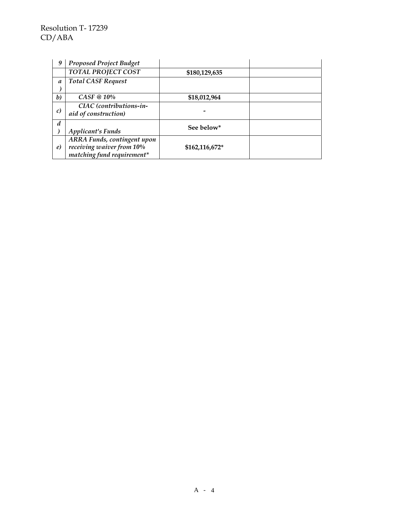| 9                | <b>Proposed Project Budget</b>                                                         |                |  |
|------------------|----------------------------------------------------------------------------------------|----------------|--|
|                  | <b>TOTAL PROJECT COST</b>                                                              | \$180,129,635  |  |
| $\boldsymbol{a}$ | <b>Total CASF Request</b>                                                              |                |  |
|                  |                                                                                        |                |  |
| $\boldsymbol{b}$ | $CASF \otimes 10\%$                                                                    | \$18,012,964   |  |
| $\mathcal{C}$    | CIAC (contributions-in-<br>aid of construction)                                        |                |  |
| d                | <b>Applicant's Funds</b>                                                               | See below*     |  |
| $\epsilon$       | ARRA Funds, contingent upon<br>receiving waiver from 10%<br>matching fund requirement* | \$162,116,672* |  |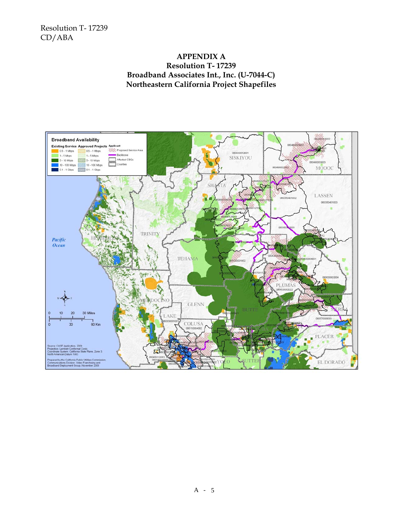#### **APPENDIX A Resolution T- 17239 Broadband Associates Int., Inc. (U-7044-C) Northeastern California Project Shapefiles**